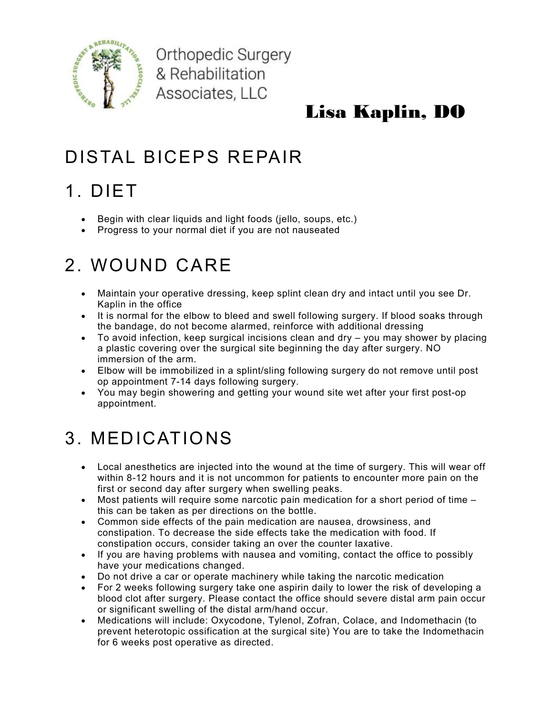

**Orthopedic Surgery** & Rehabilitation Associates, LLC

### Lisa Kaplin, DO

### DISTAL BICEPS REPAIR

## 1. DIET

- Begin with clear liquids and light foods (jello, soups, etc.)
- Progress to your normal diet if you are not nauseated

## 2. WOUND CARE

- Maintain your operative dressing, keep splint clean dry and intact until you see Dr. Kaplin in the office
- It is normal for the elbow to bleed and swell following surgery. If blood soaks through the bandage, do not become alarmed, reinforce with additional dressing
- To avoid infection, keep surgical incisions clean and dry you may shower by placing a plastic covering over the surgical site beginning the day after surgery. NO immersion of the arm.
- Elbow will be immobilized in a splint/sling following surgery do not remove until post op appointment 7-14 days following surgery.
- You may begin showering and getting your wound site wet after your first post-op appointment.

## 3. MEDICATIONS

- Local anesthetics are injected into the wound at the time of surgery. This will wear off within 8-12 hours and it is not uncommon for patients to encounter more pain on the first or second day after surgery when swelling peaks.
- $\bullet$  Most patients will require some narcotic pain medication for a short period of time  $$ this can be taken as per directions on the bottle.
- Common side effects of the pain medication are nausea, drowsiness, and constipation. To decrease the side effects take the medication with food. If constipation occurs, consider taking an over the counter laxative.
- If you are having problems with nausea and vomiting, contact the office to possibly have your medications changed.
- Do not drive a car or operate machinery while taking the narcotic medication
- For 2 weeks following surgery take one aspirin daily to lower the risk of developing a blood clot after surgery. Please contact the office should severe distal arm pain occur or significant swelling of the distal arm/hand occur.
- Medications will include: Oxycodone, Tylenol, Zofran, Colace, and Indomethacin (to prevent heterotopic ossification at the surgical site) You are to take the Indomethacin for 6 weeks post operative as directed.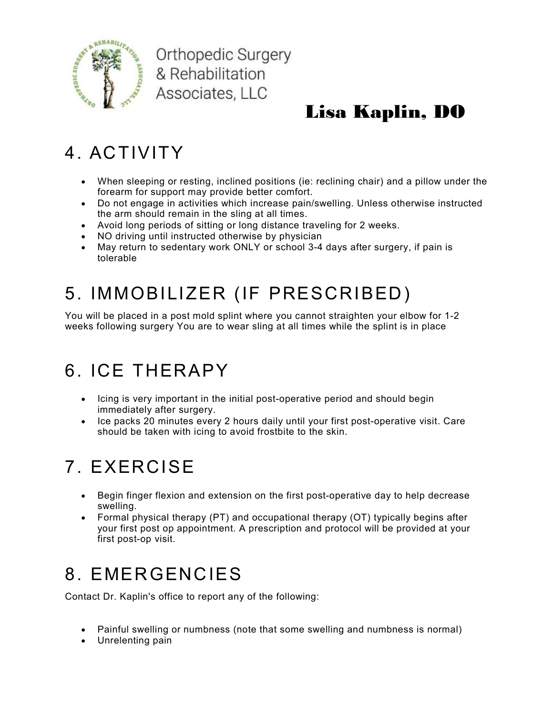

**Orthopedic Surgery** & Rehabilitation Associates, LLC

## Lisa Kaplin, DO

### 4. ACTIVITY

- When sleeping or resting, inclined positions (ie: reclining chair) and a pillow under the forearm for support may provide better comfort.
- Do not engage in activities which increase pain/swelling. Unless otherwise instructed the arm should remain in the sling at all times.
- Avoid long periods of sitting or long distance traveling for 2 weeks.
- NO driving until instructed otherwise by physician
- May return to sedentary work ONLY or school 3-4 days after surgery, if pain is tolerable

# 5. IMMOBILIZER (IF PRESCRIBED)

You will be placed in a post mold splint where you cannot straighten your elbow for 1-2 weeks following surgery You are to wear sling at all times while the splint is in place

### 6. ICE THERAPY

- Icing is very important in the initial post-operative period and should begin immediately after surgery.
- Ice packs 20 minutes every 2 hours daily until your first post-operative visit. Care should be taken with icing to avoid frostbite to the skin.

# 7. EXERCISE

- Begin finger flexion and extension on the first post-operative day to help decrease swelling.
- Formal physical therapy (PT) and occupational therapy (OT) typically begins after your first post op appointment. A prescription and protocol will be provided at your first post-op visit.

## 8. EMERGENCIES

Contact Dr. Kaplin's office to report any of the following:

- Painful swelling or numbness (note that some swelling and numbness is normal)
- Unrelenting pain